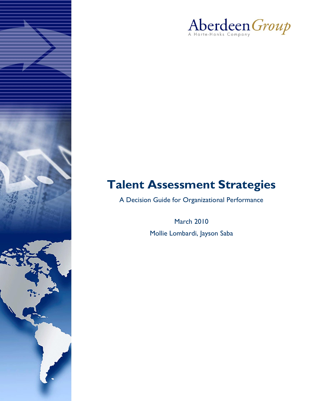

# **Talent Assessment Strategies**

A Decision Guide for Organizational Performance

**March 2010** Mollie Lombardi, Jayson Saba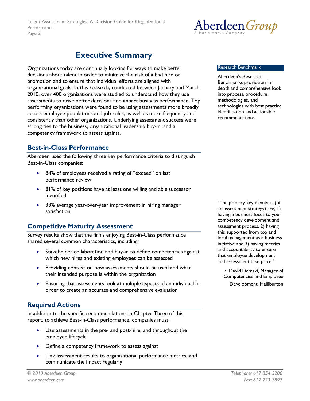

## <span id="page-1-0"></span>**Executive Summary**

Organizations today are continually looking for ways to make better decisions about talent in order to minimize the risk of a bad hire or promotion and to ensure that individual efforts are aligned with organizational goals. In this research, conducted between January and March 2010, over 400 organizations were studied to understand how they use assessments to drive better decisions and impact business performance. Top performing organizations were found to be using assessments more broadly across employee populations and job roles, as well as more frequently and consistently than other organizations. Underlying assessment success were strong ties to the business, organizational leadership buy-in, and a competency framework to assess against.

## <span id="page-1-1"></span>**Best-in-Class Performance**

Aberdeen used the following three key performance criteria to distinguish Best-in-Class companies:

- 84% of employees received a rating of "exceed" on last performance review
- 81% of key positions have at least one willing and able successor identified
- 33% average year-over-year improvement in hiring manager satisfaction

## <span id="page-1-2"></span>**Competitive Maturity Assessment**

Survey results show that the firms enjoying Best-in-Class performance shared several common characteristics, including:

- Stakeholder collaboration and buy-in to define competencies against which new hires and existing employees can be assessed
- Providing context on how assessments should be used and what their intended purpose is within the organization
- Ensuring that assessments look at multiple aspects of an individual in order to create an accurate and comprehensive evaluation

## <span id="page-1-3"></span>**Required Actions**

In addition to the specific recommendations in Chapter Three of this report, to achieve Best-in-Class performance, companies must:

- Use assessments in the pre- and post-hire, and throughout the  $\bullet$ employee lifecycle
- Define a competency framework to assess against
- Link assessment results to organizational performance metrics, and communicate the impact regularly

#### **Research Benchmark**

Aberdeen's Research Benchmarks provide an indepth and comprehensive look into process, procedure, methodologies, and technologies with best practice identification and actionable recommendations

"The primary key elements (of an assessment strategy) are, 1) having a business focus to your competency development and assessment process, 2) having this supported from top and local management as a business initiative and 3) having metrics and accountability to ensure that employee development and assessment take place."

 $\sim$  David Demski, Manager of Competencies and Employee Development, Halliburton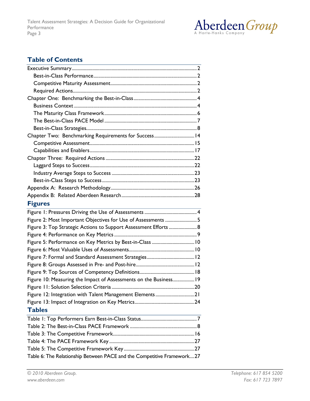

## **Table of Contents**

| Chapter Two: Benchmarking Requirements for Success 14                  |  |
|------------------------------------------------------------------------|--|
|                                                                        |  |
|                                                                        |  |
|                                                                        |  |
|                                                                        |  |
|                                                                        |  |
|                                                                        |  |
|                                                                        |  |
|                                                                        |  |
| <b>Figures</b>                                                         |  |
|                                                                        |  |
| Figure 2: Most Important Objectives for Use of Assessments 5           |  |
| Figure 3: Top Strategic Actions to Support Assessment Efforts 8        |  |
|                                                                        |  |
| Figure 5: Performance on Key Metrics by Best-in-Class  10              |  |
|                                                                        |  |
|                                                                        |  |
|                                                                        |  |
|                                                                        |  |
| Figure 10: Measuring the Impact of Assessments on the Business 19      |  |
|                                                                        |  |
| Figure 12: Integration with Talent Management Elements21               |  |
|                                                                        |  |
| <b>Tables</b>                                                          |  |
|                                                                        |  |
|                                                                        |  |
|                                                                        |  |
|                                                                        |  |
|                                                                        |  |
| Table 6: The Relationship Between PACE and the Competitive Framework27 |  |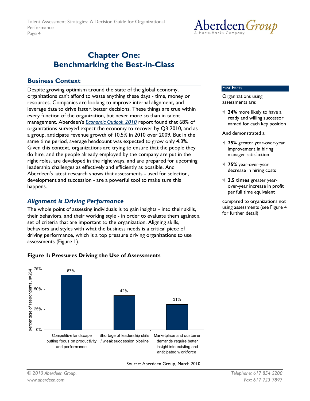## <span id="page-3-0"></span>**Chapter One: Benchmarking the Best-in-Class**

#### **Business Context**

<span id="page-3-1"></span>Despite growing optimism around the state of the global economy, organizations can't afford to waste anything these days - time, money or resources. Companies are looking to improve internal alignment, and leverage data to drive faster, better decisions. These things are true within every function of the organization, but never more so than in talent management. Aberdeen's **Economic Outlook 2010** report found that 68% of organizations surveyed expect the economy to recover by Q3 2010, and as a group, anticipate revenue growth of 10.5% in 2010 over 2009. But in the same time period, average headcount was expected to grow only 4.3%. Given this context, organizations are trying to ensure that the people they do hire, and the people already employed by the company are put in the right roles, are developed in the right ways, and are prepared for upcoming leadership challenges as effectively and efficiently as possible. And Aberdeen's latest research shows that assessments - used for selection, development and succession - are a powerful tool to make sure this happens.

## **Alignment is Driving Performance**

The whole point of assessing individuals is to gain insights - into their skills, their behaviors, and their working style - in order to evaluate them against a set of criteria that are important to the organization. Aligning skills, behaviors and styles with what the business needs is a critical piece of driving performance, which is a top pressure driving organizations to use assessments (Figure 1).



#### <span id="page-3-2"></span>**Figure 1: Pressures Driving the Use of Assessments**

Source: Aberdeen Group, March 2010



#### **Fast Facts**

Organizations using assessments are:

 $\sqrt{24\%}$  more likely to have a ready and willing successor named for each key position

And demonstrated a:

- $\sqrt{75\%}$  greater year-over-year improvement in hiring manager satisfaction
- $\sqrt{75\%}$  year-over-year decrease in hiring costs
- $\sqrt{2.5}$  times greater yearover-year increase in profit per full time equivalent

compared to organizations not using assessments (see Figure 4 for further detail)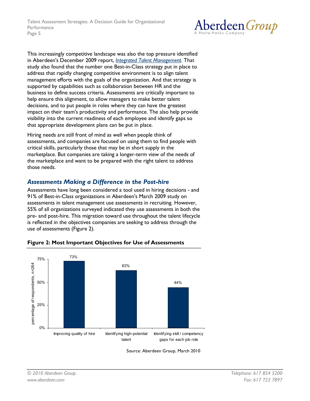

This increasingly competitive landscape was also the top pressure identified in Aberdeen's December 2009 report, Integrated Talent Management. That study also found that the number one Best-in-Class strategy put in place to address that rapidly changing competitive environment is to align talent management efforts with the goals of the organization. And that strategy is supported by capabilities such as collaboration between HR and the business to define success criteria. Assessments are critically important to help ensure this alignment, to allow managers to make better talent decisions, and to put people in roles where they can have the greatest impact on their team's productivity and performance. The also help provide visibility into the current readiness of each employee and identify gaps so that appropriate development plans can be put in place.

Hiring needs are still front of mind as well when people think of assessments, and companies are focused on using them to find people with critical skills, particularly those that may be in short supply in the marketplace. But companies are taking a longer-term view of the needs of the marketplace and want to be prepared with the right talent to address those needs.

## **Assessments Making a Difference in the Post-hire**

Assessments have long been considered a tool used in hiring decisions - and 91% of Best-in-Class organizations in Aberdeen's March 2009 study on assessments in talent management use assessments in recruiting. However, 55% of all organizations surveyed indicated they use assessments in both the pre- and post-hire. This migration toward use throughout the talent lifecycle is reflected in the objectives companies are seeking to address through the use of assessments (Figure 2).



#### <span id="page-4-0"></span>Figure 2: Most Important Objectives for Use of Assessments

Source: Aberdeen Group, March 2010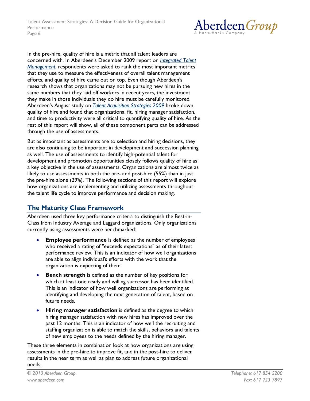

In the pre-hire, quality of hire is a metric that all talent leaders are concerned with. In Aberdeen's December 2009 report on *Integrated Talent* Management, respondents were asked to rank the most important metrics that they use to measure the effectiveness of overall talent management efforts, and quality of hire came out on top. Even though Aberdeen's research shows that organizations may not be pursuing new hires in the same numbers that they laid off workers in recent years, the investment they make in those individuals they do hire must be carefully monitored. Aberdeen's August study on **Talent Acquisition** Strategies 2009 broke down quality of hire and found that organizational fit, hiring manager satisfaction, and time to productivity were all critical to quantifying quality of hire. As the rest of this report will show, all of these component parts can be addressed through the use of assessments.

But as important as assessments are to selection and hiring decisions, they are also continuing to be important in development and succession planning as well. The use of assessments to identify high-potential talent for development and promotion opportunities closely follows quality of hire as a key objective in the use of assessments. Organizations are almost twice as likely to use assessments in both the pre- and post-hire (55%) than in just the pre-hire alone (29%). The following sections of this report will explore how organizations are implementing and utilizing assessments throughout the talent life cycle to improve performance and decision making.

## <span id="page-5-0"></span>**The Maturity Class Framework**

Aberdeen used three key performance criteria to distinguish the Best-in-Class from Industry Average and Laggard organizations. Only organizations currently using assessments were benchmarked:

- **Employee performance** is defined as the number of employees who received a rating of "exceeds expectations" as of their latest performance review. This is an indicator of how well organizations are able to align individual's efforts with the work that the organization is expecting of them.
- **Bench strength** is defined as the number of key positions for which at least one ready and willing successor has been identified. This is an indicator of how well organizations are performing at identifying and developing the next generation of talent, based on future needs.
- Hiring manager satisfaction is defined as the degree to which hiring manager satisfaction with new hires has improved over the past 12 months. This is an indicator of how well the recruiting and staffing organization is able to match the skills, behaviors and talents of new employees to the needs defined by the hiring manager.

These three elements in combination look at how organizations are using assessments in the pre-hire to improve fit, and in the post-hire to deliver results in the near term as well as plan to address future organizational needs.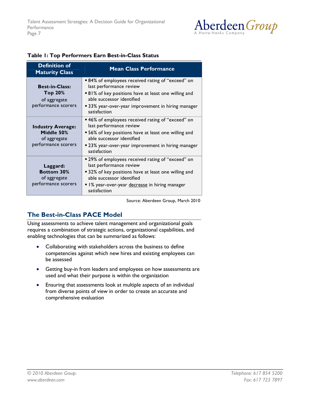

| <b>Definition of</b><br><b>Maturity Class</b>                                  | <b>Mean Class Performance</b>                                                                                                                                                                                                           |  |
|--------------------------------------------------------------------------------|-----------------------------------------------------------------------------------------------------------------------------------------------------------------------------------------------------------------------------------------|--|
| <b>Best-in-Class:</b><br><b>Top 20%</b><br>of aggregate<br>performance scorers | ■ 84% of employees received rating of "exceed" on<br>last performance review<br>■ 81% of key positions have at least one willing and<br>able successor identified<br>■ 33% year-over-year improvement in hiring manager<br>satisfaction |  |
| <b>Industry Average:</b><br>Middle 50%<br>of aggregate<br>performance scorers  | ■ 46% of employees received rating of "exceed" on<br>last performance review<br>• 56% of key positions have at least one willing and<br>able successor identified<br>■ 23% year-over-year improvement in hiring manager<br>satisfaction |  |
| Laggard:<br><b>Bottom 30%</b><br>of aggregate<br>performance scorers           | ■ 29% of employees received rating of "exceed" on<br>last performance review<br>■ 32% of key positions have at least one willing and<br>able successor identified<br>I% year-over-year decrease in hiring manager<br>satisfaction       |  |

#### <span id="page-6-1"></span>Table 1: Top Performers Earn Best-in-Class Status

Source: Aberdeen Group, March 2010

## **The Best-in-Class PACE Model**

<span id="page-6-0"></span>Using assessments to achieve talent management and organizational goals requires a combination of strategic actions, organizational capabilities, and enabling technologies that can be summarized as follows:

- Collaborating with stakeholders across the business to define  $\bullet$ competencies against which new hires and existing employees can be assessed
- Getting buy-in from leaders and employees on how assessments are used and what their purpose is within the organization
- Ensuring that assessments look at multiple aspects of an individual  $\bullet$ from diverse points of view in order to create an accurate and comprehensive evaluation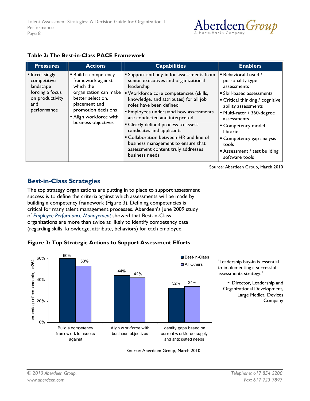

#### <span id="page-7-2"></span>Table 2: The Best-in-Class PACE Framework

| <b>Pressures</b>                                                                                       | <b>Actions</b>                                                                                                                                                                                   | <b>Capabilities</b>                                                                                                                                                                                                                                                                                                                                                                                                                                                                                             | <b>Enablers</b>                                                                                                                                                                                                                                                                                                                |
|--------------------------------------------------------------------------------------------------------|--------------------------------------------------------------------------------------------------------------------------------------------------------------------------------------------------|-----------------------------------------------------------------------------------------------------------------------------------------------------------------------------------------------------------------------------------------------------------------------------------------------------------------------------------------------------------------------------------------------------------------------------------------------------------------------------------------------------------------|--------------------------------------------------------------------------------------------------------------------------------------------------------------------------------------------------------------------------------------------------------------------------------------------------------------------------------|
| • Increasingly<br>competitive<br>landscape<br>forcing a focus<br>on productivity<br>and<br>performance | <b>Build a competency</b><br>framework against<br>which the<br>organization can make<br>better selection,<br>placement and<br>promotion decisions<br>Align workforce with<br>business objectives | <b>Support and buy-in for assessments from</b><br>senior executives and organizational<br>leadership<br>" Workforce core competencies (skills,<br>knowledge, and attributes) for all job<br>roles have been defined<br><b>Employees understand how assessments</b><br>are conducted and interpreted<br>• Clearly defined process to assess<br>candidates and applicants<br>" Collaboration between HR and line of<br>business management to ensure that<br>assessment content truly addresses<br>business needs | ■ Behavioral-based /<br>personality type<br>assessments<br><b>Skill-based assessments</b><br>■ Critical thinking / cognitive<br>ability assessments<br>Multi-rater / 360-degree<br>assessments<br>■ Competency model<br><b>libraries</b><br>• Competency gap analysis<br>tools<br>Assessment / test building<br>software tools |

Source: Aberdeen Group, March 2010

## **Best-in-Class Strategies**

<span id="page-7-0"></span>The top strategy organizations are putting in to place to support assessment success is to define the criteria against which assessments will be made by building a competency framework (Figure 3). Defining competencies is critical for many talent management processes. Aberdeen's June 2009 study of *Employee Performance Management* showed that Best-in-Class organizations are more than twice as likely to identify competency data (regarding skills, knowledge, attribute, behaviors) for each employee.



#### <span id="page-7-1"></span>**Figure 3: Top Strategic Actions to Support Assessment Efforts**

"Leadership buy-in is essential to implementing a successful assessments strategy."

 $\sim$  Director, Leadership and Organizational Development, Large Medical Devices Company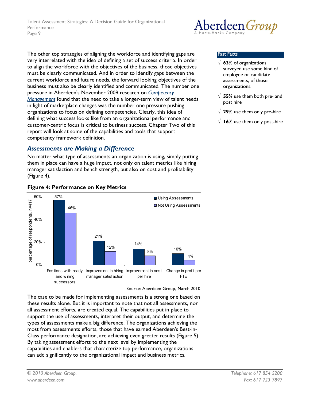The other top strategies of aligning the workforce and identifying gaps are very interrelated with the idea of defining a set of success criteria. In order to align the workforce with the objectives of the business, those objectives must be clearly communicated. And in order to identify gaps between the current workforce and future needs, the forward looking objectives of the business must also be clearly identified and communicated. The number one pressure in Aberdeen's November 2009 research on Competency Management found that the need to take a longer-term view of talent needs in light of marketplace changes was the number one pressure pushing organizations to focus on defining competencies. Clearly, this idea of defining what success looks like from an organizational performance and customer-centric focus is critical to business success. Chapter Two of this report will look at some of the capabilities and tools that support competency framework definition.

## **Assessments are Making a Difference**

No matter what type of assessments an organization is using, simply putting them in place can have a huge impact, not only on talent metrics like hiring manager satisfaction and bench strength, but also on cost and profitability (Figure 4).



#### <span id="page-8-0"></span>**Figure 4: Performance on Key Metrics**

Source: Aberdeen Group, March 2010

The case to be made for implementing assessments is a strong one based on these results alone. But it is important to note that not all assessments, nor all assessment efforts, are created equal. The capabilities put in place to support the use of assessments, interpret their output, and determine the types of assessments make a big difference. The organizations achieving the most from assessments efforts, those that have earned Aberdeen's Best-in-Class performance designation, are achieving even greater results (Figure 5). By taking assessment efforts to the next level by implementing the capabilities and enablers that characterize top performance, organizations can add significantly to the organizational impact and business metrics.



#### **Fast Facts**

- $\sqrt{63\%}$  of organizations surveyed use some kind of employee or candidate assessments, of those organizations:
- $\sqrt{55\%}$  use them both pre- and post hire
- $\sqrt{29\%}$  use them only pre-hire
- $\sqrt{16\%}$  use them only post-hire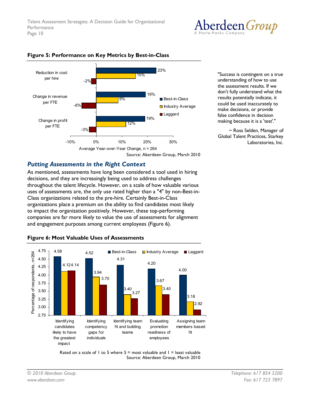



#### <span id="page-9-0"></span>Figure 5: Performance on Key Metrics by Best-in-Class

"Success is contingent on a true understanding of how to use the assessment results. If we don't fully understand what the results potentially indicate, it could be used inaccurately to make decisions, or provide false confidence in decision making because it is a 'test'."

~ Ross Selden, Manager of Global Talent Practices, Starkey Laboratories, Inc.

### **Putting Assessments in the Right Context**

As mentioned, assessments have long been considered a tool used in hiring decisions, and they are increasingly being used to address challenges throughout the talent lifecycle. However, on a scale of how valuable various uses of assessments are, the only use rated higher than a "4" by non-Best-in-Class organizations related to the pre-hire. Certainly Best-in-Class organizations place a premium on the ability to find candidates most likely to impact the organization positively. However, these top-performing companies are far more likely to value the use of assessments for alignment and engagement purposes among current employees (Figure 6).



#### <span id="page-9-1"></span>Figure 6: Most Valuable Uses of Assessments

Rated on a scale of 1 to 5 where  $5 =$  most valuable and  $1 =$  least valuable Source: Aberdeen Group, March 2010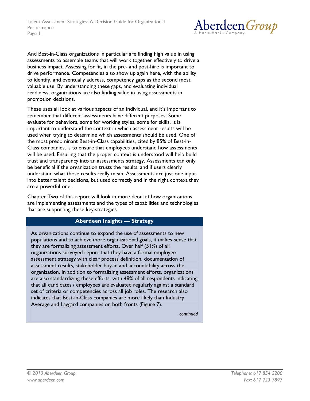

And Best-in-Class organizations in particular are finding high value in using assessments to assemble teams that will work together effectively to drive a business impact. Assessing for fit, in the pre- and post-hire is important to drive performance. Competencies also show up again here, with the ability to identify, and eventually address, competency gaps as the second most valuable use. By understanding these gaps, and evaluating individual readiness, organizations are also finding value in using assessments in promotion decisions.

These uses all look at various aspects of an individual, and it's important to remember that different assessments have different purposes. Some evaluate for behaviors, some for working styles, some for skills. It is important to understand the context in which assessment results will be used when trying to determine which assessments should be used. One of the most predominant Best-in-Class capabilities, cited by 85% of Best-in-Class companies, is to ensure that employees understand how assessments will be used. Ensuring that the proper context is understood will help build trust and transparency into an assessments strategy. Assessments can only be beneficial if the organization trusts the results, and if users clearly understand what those results really mean. Assessments are just one input into better talent decisions, but used correctly and in the right context they are a powerful one.

Chapter Two of this report will look in more detail at how organizations are implementing assessments and the types of capabilities and technologies that are supporting these key strategies.

#### **Aberdeen Insights - Strategy**

As organizations continue to expand the use of assessments to new populations and to achieve more organizational goals, it makes sense that they are formalizing assessment efforts. Over half (51%) of all organizations surveyed report that they have a formal employee assessment strategy with clear process definition, documentation of assessment results, stakeholder buy-in and accountability across the organization. In addition to formalizing assessment efforts, organizations are also standardizing these efforts, with 48% of all respondents indicating that all candidates / employees are evaluated regularly against a standard set of criteria or competencies across all job roles. The research also indicates that Best-in-Class companies are more likely than Industry Average and Laggard companies on both fronts (Figure 7).

continued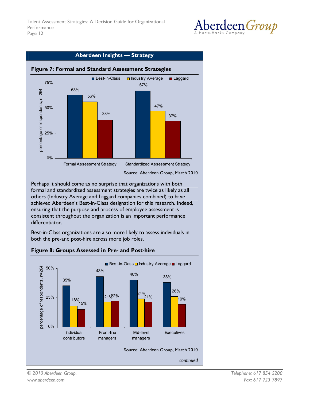

<span id="page-11-0"></span>

Perhaps it should come as no surprise that organizations with both formal and standardized assessment strategies are twice as likely as all others (Industry Average and Laggard companies combined) to have achieved Aberdeen's Best-in-Class designation for this research. Indeed, ensuring that the purpose and process of employee assessment is consistent throughout the organization is an important performance differentiator.

Best-in-Class organizations are also more likely to assess individuals in both the pre-and post-hire across more job roles.



### <span id="page-11-1"></span>Figure 8: Groups Assessed in Pre- and Post-hire

© 2010 Aberdeen Group. www.aberdeen.com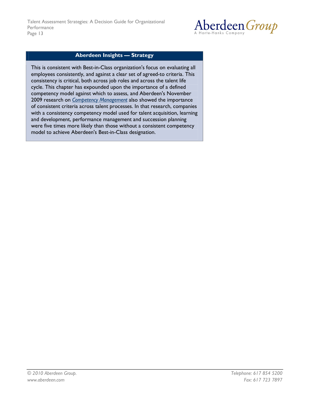

#### **Aberdeen Insights - Strategy**

This is consistent with Best-in-Class organization's focus on evaluating all employees consistently, and against a clear set of agreed-to criteria. This consistency is critical, both across job roles and across the talent life cycle. This chapter has expounded upon the importance of a defined competency model against which to assess, and Aberdeen's November 2009 research on *Competency Management* also showed the importance of consistent criteria across talent processes. In that research, companies with a consistency competency model used for talent acquisition, learning and development, performance management and succession planning were five times more likely than those without a consistent competency model to achieve Aberdeen's Best-in-Class designation.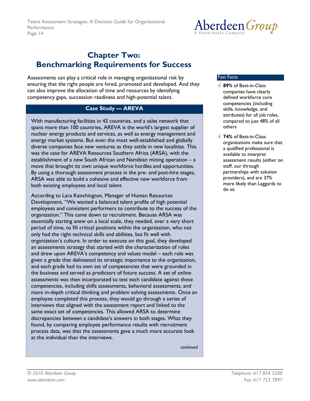

## <span id="page-13-0"></span>**Chapter Two: Benchmarking Requirements for Success**

Assessments can play a critical role in managing organizational risk by ensuring that the right people are hired, promoted and developed. And they can also improve the allocation of time and resources by identifying competency gaps, succession readiness and high-potential talent.

### **Case Study - AREVA**

With manufacturing facilities in 43 countries, and a sales network that spans more than 100 countries, AREVA is the world's largest supplier of nuclear energy products and services, as well as energy management and energy market systems. But even the most well-established and globally diverse companies face new ventures as they settle in new localities. This was the case for AREVA Resources Southern Africa (ARSA), with the establishment of a new South African and Namibian mining operation – a move that brought its own unique workforce hurdles and opportunities. By using a thorough assessment process in the pre- and post-hire stages, ARSA was able to build a cohesive and effective new workforce from both existing employees and local talent.

According to Lara Kenchington, Manager of Human Resources Development, "We wanted a balanced talent profile of high potential employees and consistent performers to contribute to the success of the organization." This came down to recruitment. Because ARSA was essentially starting anew on a local scale, they needed, over a very short period of time, to fill critical positions within the organization, who not only had the right technical skills and abilities, but fit well with organization's culture. In order to execute on this goal, they developed an assessments strategy that started with the characterization of roles and drew upon AREVA's competency and values model - each role was given a grade that delineated its strategic importance to the organization, and each grade had its own set of competencies that were grounded in the business and served as predictors of future success. A set of online assessments was then incorporated to test each candidate against these competencies, including skills assessments, behavioral assessments, and more in-depth critical thinking and problem solving assessments. Once an employee completed this process, they would go through a series of interviews that aligned with the assessment report and linked to the same exact set of competencies. This allowed ARSA to determine discrepancies between a candidate's answers in both stages. What they found, by comparing employee performance results with recruitment process data, was that the assessments gave a much more accurate look at the individual than the interviews.

continued

#### **Fast Facts**

- $\sqrt{89\%}$  of Best-in-Class companies have clearly defined workforce core competencies (including skills, knowledge, and attributes) for all job roles, compared to just 48% of all others
- $\sqrt{74\%}$  of Best-in-Class organizations make sure that a qualified professional is available to interpret assessment results (either on staff, our through partnerships with solution providers), and are 37% more likely than Laggards to do so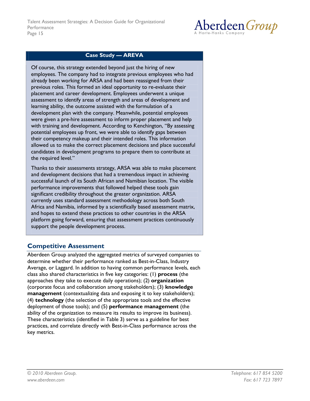

### **Case Study - AREVA**

Of course, this strategy extended beyond just the hiring of new employees. The company had to integrate previous employees who had already been working for ARSA and had been reassigned from their previous roles. This formed an ideal opportunity to re-evaluate their placement and career development. Employees underwent a unique assessment to identify areas of strength and areas of development and learning ability, the outcome assisted with the formulation of a development plan with the company. Meanwhile, potential employees were given a pre-hire assessment to inform proper placement and help with training and development. According to Kenchington, "By assessing potential employees up front, we were able to identify gaps between their competency makeup and their intended roles. This information allowed us to make the correct placement decisions and place successful candidates in development programs to prepare them to contribute at the required level."

Thanks to their assessments strategy, ARSA was able to make placement and development decisions that had a tremendous impact in achieving successful launch of its South African and Namibian location. The visible performance improvements that followed helped these tools gain significant credibility throughout the greater organization. ARSA currently uses standard assessment methodology across both South Africa and Namibia, informed by a scientifically based assessment matrix, and hopes to extend these practices to other countries in the ARSA platform going forward, ensuring that assessment practices continuously support the people development process.

## <span id="page-14-0"></span>**Competitive Assessment**

Aberdeen Group analyzed the aggregated metrics of surveyed companies to determine whether their performance ranked as Best-in-Class, Industry Average, or Laggard. In addition to having common performance levels, each class also shared characteristics in five key categories: (1) process (the approaches they take to execute daily operations); (2) organization (corporate focus and collaboration among stakeholders); (3) knowledge management (contextualizing data and exposing it to key stakeholders); (4) technology (the selection of the appropriate tools and the effective deployment of those tools); and (5) performance management (the ability of the organization to measure its results to improve its business). These characteristics (identified in Table 3) serve as a guideline for best practices, and correlate directly with Best-in-Class performance across the key metrics.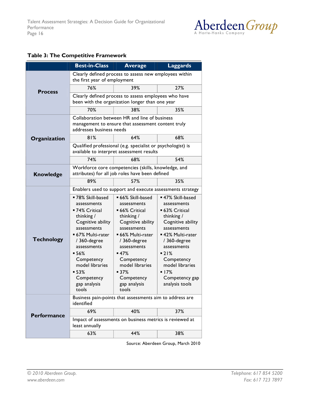

#### <span id="page-15-0"></span>Table 3: The Competitive Framework

|                    | <b>Best-in-Class</b>                                                                                                            | <b>Average</b>                   | <b>Laggards</b>                  |  |
|--------------------|---------------------------------------------------------------------------------------------------------------------------------|----------------------------------|----------------------------------|--|
|                    | Clearly defined process to assess new employees within<br>the first year of employment                                          |                                  |                                  |  |
| <b>Process</b>     | 76%                                                                                                                             | 39%                              | 27%                              |  |
|                    | Clearly defined process to assess employees who have<br>been with the organization longer than one year                         |                                  |                                  |  |
|                    | 70%                                                                                                                             | 38%                              | 35%                              |  |
|                    | Collaboration between HR and line of business<br>management to ensure that assessment content truly<br>addresses business needs |                                  |                                  |  |
| Organization       | 81%                                                                                                                             | 64%                              | 68%                              |  |
|                    | Qualified professional (e.g. specialist or psychologist) is<br>available to interpret assessment results                        |                                  |                                  |  |
|                    | 74%                                                                                                                             | 68%                              | 54%                              |  |
| <b>Knowledge</b>   | Workforce core competencies (skills, knowledge, and<br>attributes) for all job roles have been defined                          |                                  |                                  |  |
|                    | 89%                                                                                                                             | 57%                              | 35%                              |  |
|                    | Enablers used to support and execute assessments strategy                                                                       |                                  |                                  |  |
|                    | ■ 78% Skill-based                                                                                                               | • 66% Skill-based                | ■ 47% Skill-based                |  |
|                    | assessments                                                                                                                     | assessments                      | assessments                      |  |
|                    | ■ 74% Critical                                                                                                                  | ■ 66% Critical                   | ■ 63% Critical                   |  |
|                    | thinking /                                                                                                                      | thinking /                       | thinking /                       |  |
|                    | Cognitive ability<br>assessments                                                                                                | Cognitive ability<br>assessments | Cognitive ability<br>assessments |  |
|                    | ■ 67% Multi-rater                                                                                                               | ■ 66% Multi-rater                | ■ 42% Multi-rater                |  |
| <b>Technology</b>  | $/360$ -degree                                                                                                                  | / 360-degree                     | / 360-degree                     |  |
|                    | assessments                                                                                                                     | assessments                      | assessments                      |  |
|                    | $-56%$                                                                                                                          | $-47%$                           | $-21%$                           |  |
|                    | Competency<br>model libraries                                                                                                   | Competency<br>model libraries    | Competency<br>model libraries    |  |
|                    | $-53%$                                                                                                                          | $-37%$                           | $-17%$                           |  |
|                    | Competency                                                                                                                      | Competency                       | Competency gap                   |  |
|                    | gap analysis                                                                                                                    | gap analysis                     | analysis tools                   |  |
|                    | tools                                                                                                                           | tools                            |                                  |  |
| <b>Performance</b> | Business pain-points that assessments aim to address are<br>identified                                                          |                                  |                                  |  |
|                    | 69%                                                                                                                             | 40%                              | 37%                              |  |
|                    | Impact of assessments on business metrics is reviewed at<br>least annually                                                      |                                  |                                  |  |
|                    | 63%                                                                                                                             | 44%                              | 38%                              |  |

Source: Aberdeen Group, March 2010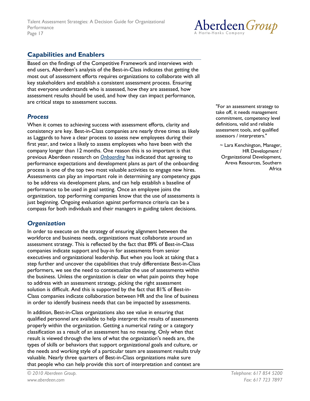

## **Capabilities and Enablers**

<span id="page-16-0"></span>Based on the findings of the Competitive Framework and interviews with end users, Aberdeen's analysis of the Best-in-Class indicates that getting the most out of assessment efforts requires organizations to collaborate with all key stakeholders and establish a consistent assessment process. Ensuring that everyone understands who is assessed, how they are assessed, how assessment results should be used, and how they can impact performance, are critical steps to assessment success.

## **Process**

When it comes to achieving success with assessment efforts, clarity and consistency are key. Best-in-Class companies are nearly three times as likely as Laggards to have a clear process to assess new employees during their first year, and twice a likely to assess employees who have been with the company longer than 12 months. One reason this is so important is that previous Aberdeen research on **Onboarding** has indicated that agreeing to performance expectations and development plans as part of the onboarding process is one of the top two most valuable activities to engage new hires. Assessments can play an important role in determining any competency gaps to be address via development plans, and can help establish a baseline of performance to be used in goal setting. Once an employee joins the organization, top performing companies know that the use of assessments is just beginning. Ongoing evaluation against performance criteria can be a compass for both individuals and their managers in guiding talent decisions.

## **Organization**

In order to execute on the strategy of ensuring alignment between the workforce and business needs, organizations must collaborate around an assessment strategy. This is reflected by the fact that 89% of Best-in-Class companies indicate support and buy-in for assessments from senior executives and organizational leadership. But when you look at taking that a step further and uncover the capabilities that truly differentiate Best-in-Class performers, we see the need to contextualize the use of assessments within the business. Unless the organization is clear on what pain points they hope to address with an assessment strategy, picking the right assessment solution is difficult. And this is supported by the fact that 81% of Best-in-Class companies indicate collaboration between HR and the line of business in order to identify business needs that can be impacted by assessments.

In addition, Best-in-Class organizations also see value in ensuring that qualified personnel are available to help interpret the results of assessments properly within the organization. Getting a numerical rating or a category classification as a result of an assessment has no meaning. Only when that result is viewed through the lens of what the organization's needs are, the types of skills or behaviors that support organizational goals and culture, or the needs and working style of a particular team are assessment results truly valuable. Nearly three quarters of Best-in-Class organizations make sure that people who can help provide this sort of interpretation and context are

"For an assessment strategy to take off, it needs management commitment, competency level definitions, valid and reliable assessment tools, and qualified assessors / interpreters."

 $\sim$  Lara Kenchington, Manager, HR Development / Organizational Development, Areva Resources, Southern Africa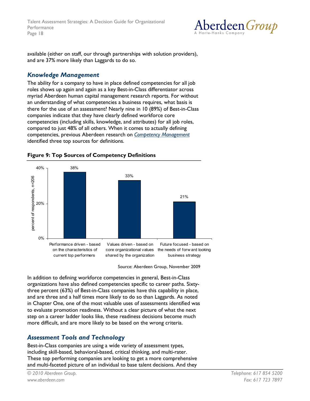Talent Assessment Strategies: A Decision Guide for Organizational Performance Page 18



available (either on staff, our through partnerships with solution providers), and are 37% more likely than Laggards to do so.

### **Knowledge Management**

The ability for a company to have in place defined competencies for all job roles shows up again and again as a key Best-in-Class differentiator across myriad Aberdeen human capital management research reports. For without an understanding of what competencies a business requires, what basis is there for the use of an assessment? Nearly nine in 10 (89%) of Best-in-Class companies indicate that they have clearly defined workforce core competencies (including skills, knowledge, and attributes) for all job roles, compared to just 48% of all others. When it comes to actually defining competencies, previous Aberdeen research on Competency Management identified three top sources for definitions.



#### <span id="page-17-0"></span>**Figure 9: Top Sources of Competency Definitions**

Source: Aberdeen Group, November 2009

In addition to defining workforce competencies in general, Best-in-Class organizations have also defined competencies specific to career paths. Sixtythree percent (63%) of Best-in-Class companies have this capability in place, and are three and a half times more likely to do so than Laggards. As noted in Chapter One, one of the most valuable uses of assessments identified was to evaluate promotion readiness. Without a clear picture of what the next step on a career ladder looks like, these readiness decisions become much more difficult, and are more likely to be based on the wrong criteria.

## **Assessment Tools and Technology**

Best-in-Class companies are using a wide variety of assessment types, including skill-based, behavioral-based, critical thinking, and multi-rater. These top performing companies are looking to get a more comprehensive and multi-faceted picture of an individual to base talent decisions. And they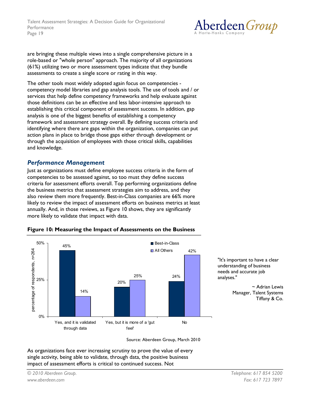

are bringing these multiple views into a single comprehensive picture in a role-based or "whole person" approach. The majority of all organizations (61%) utilizing two or more assessment types indicate that they bundle assessments to create a single score or rating in this way.

The other tools most widely adopted again focus on competencies competency model libraries and gap analysis tools. The use of tools and / or services that help define competency frameworks and help evaluate against those definitions can be an effective and less labor-intensive approach to establishing this critical component of assessment success. In addition, gap analysis is one of the biggest benefits of establishing a competency framework and assessment strategy overall. By defining success criteria and identifying where there are gaps within the organization, companies can put action plans in place to bridge those gaps either through development or through the acquisition of employees with those critical skills, capabilities and knowledge.

## **Performance Management**

Just as organizations must define employee success criteria in the form of competencies to be assessed against, so too must they define success criteria for assessment efforts overall. Top performing organizations define the business metrics that assessment strategies aim to address, and they also review them more frequently. Best-in-Class companies are 66% more likely to review the impact of assessment efforts on business metrics at least annually. And, in those reviews, as Figure 10 shows, they are significantly more likely to validate that impact with data.

<span id="page-18-0"></span>

"It's important to have a clear understanding of business needs and accurate job analyses."

> $\sim$  Adrian Lewis Manager, Talent Systems Tiffany & Co.

Source: Aberdeen Group, March 2010

As organizations face ever increasing scrutiny to prove the value of every single activity, being able to validate, through data, the positive business impact of assessment efforts is critical to continued success. Not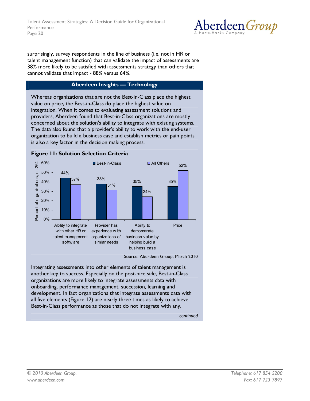

surprisingly, survey respondents in the line of business (i.e. not in HR or talent management function) that can validate the impact of assessments are 38% more likely to be satisfied with assessments strategy than others that cannot validate that impact - 88% versus 64%.

#### **Aberdeen Insights - Technology**

Whereas organizations that are not the Best-in-Class place the highest value on price, the Best-in-Class do place the highest value on integration. When it comes to evaluating assessment solutions and providers, Aberdeen found that Best-in-Class organizations are mostly concerned about the solution's ability to integrate with existing systems. The data also found that a provider's ability to work with the end-user organization to build a business case and establish metrics or pain points is also a key factor in the decision making process.

<span id="page-19-0"></span>

another key to success. Especially on the post-hire side, Best-in-Class organizations are more likely to integrate assessments data with onboarding, performance management, succession, learning and development. In fact organizations that integrate assessments data with all five elements (Figure 12) are nearly three times as likely to achieve Best-in-Class performance as those that do not integrate with any.

continued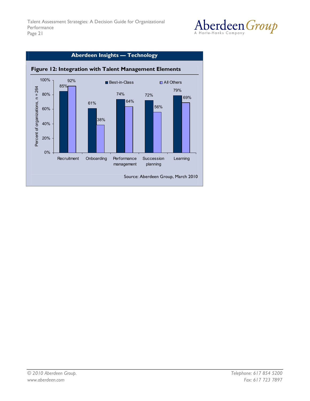

<span id="page-20-0"></span>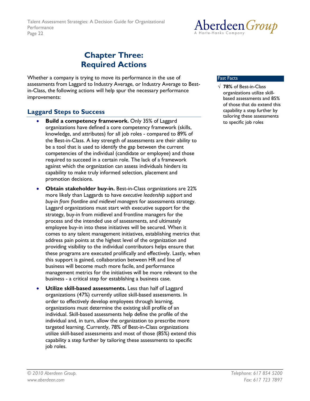

## <span id="page-21-0"></span>**Chapter Three: Required Actions**

Whether a company is trying to move its performance in the use of assessments from Laggard to Industry Average, or Industry Average to Bestin-Class, the following actions will help spur the necessary performance improvements:

## <span id="page-21-1"></span>**Laggard Steps to Success**

- Build a competency framework. Only 35% of Laggard organizations have defined a core competency framework (skills, knowledge, and attributes) for all job roles - compared to 89% of the Best-in-Class. A key strength of assessments are their ability to be a tool that is used to identify the gap between the current competencies of the individual (candidate or employee) and those required to succeed in a certain role. The lack of a framework against which the organization can assess individuals hinders its capability to make truly informed selection, placement and promotion decisions.
- **Obtain stakeholder buy-in.** Best-in-Class organizations are 22% more likely than Laggards to have executive leadership support and buy-in from frontline and midlevel managers for assessments strategy. Laggard organizations must start with executive support for the strategy, buy-in from midlevel and frontline managers for the process and the intended use of assessments, and ultimately employee buy-in into these initiatives will be secured. When it comes to any talent management initiatives, establishing metrics that address pain points at the highest level of the organization and providing visibility to the individual contributors helps ensure that these programs are executed prolifically and effectively. Lastly, when this support is gained, collaboration between HR and line of business will become much more facile, and performance management metrics for the initiatives will be more relevant to the business - a critical step for establishing a business case.
- Utilize skill-based assessments. Less than half of Laggard organizations (47%) currently utilize skill-based assessments. In order to effectively develop employees through learning, organizations must determine the existing skill profile of an individual. Skill-based assessments help define the profile of the individual and, in turn, allow the organization to prescribe more targeted learning. Currently, 78% of Best-in-Class organizations utilize skill-based assessments and most of those (85%) extend this capability a step further by tailoring these assessments to specific job roles.

#### **Fast Facts**

 $\sqrt{78\%}$  of Best-in-Class organizations utilize skillbased assessments and 85% of those that do extend this capability a step further by tailoring these assessments to specific job roles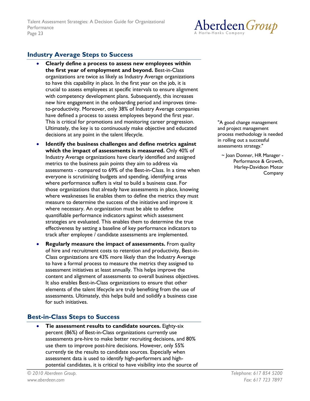

## <span id="page-22-0"></span>**Industry Average Steps to Success**

- Clearly define a process to assess new employees within the first year of employment and beyond. Best-in-Class organizations are twice as likely as Industry Average organizations to have this capability in place. In the first year on the job, it is crucial to assess employees at specific intervals to ensure alignment with competency development plans. Subsequently, this increases new hire engagement in the onboarding period and improves timeto-productivity. Moreover, only 38% of Industry Average companies have defined a process to assess employees beyond the first year. This is critical for promotions and monitoring career progression. Ultimately, the key is to continuously make objective and educated decisions at any point in the talent lifecycle.
- Identify the business challenges and define metrics against which the impact of assessments is measured. Only 40% of Industry Average organizations have clearly identified and assigned metrics to the business pain points they aim to address via assessments - compared to 69% of the Best-in-Class. In a time when everyone is scrutinizing budgets and spending, identifying areas where performance suffers is vital to build a business case. For those organizations that already have assessments in place, knowing where weaknesses lie enables them to define the metrics they must measure to determine the success of the initiative and improve it where necessary. An organization must be able to define quantifiable performance indicators against which assessment strategies are evaluated. This enables them to determine the true effectiveness by setting a baseline of key performance indicators to track after employee / candidate assessments are implemented.
- Regularly measure the impact of assessments. From quality of hire and recruitment costs to retention and productivity, Best-in-Class organizations are 43% more likely than the Industry Average to have a formal process to measure the metrics they assigned to assessment initiatives at least annually. This helps improve the content and alignment of assessments to overall business objectives. It also enables Best-in-Class organizations to ensure that other elements of the talent lifecycle are truly benefiting from the use of assessments. Ultimately, this helps build and solidify a business case for such initiatives.

## <span id="page-22-1"></span>**Best-in-Class Steps to Success**

Tie assessment results to candidate sources. Eighty-six percent (86%) of Best-in-Class organizations currently use assessments pre-hire to make better recruiting decisions, and 80% use them to improve post-hire decisions. However, only 55% currently tie the results to candidate sources. Especially when assessment data is used to identify high-performers and highpotential candidates, it is critical to have visibility into the source of

"A good change management and project management process methodology is needed in rolling out a successful assessments strategy."

~ Joan Donner, HR Manager -Performance & Growth, Harley-Davidson Motor Company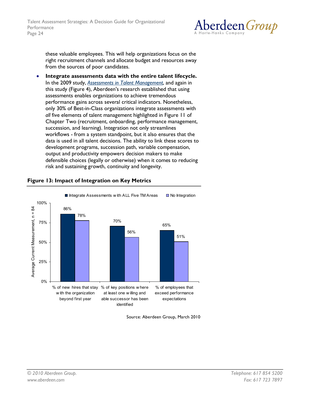

these valuable employees. This will help organizations focus on the right recruitment channels and allocate budget and resources away from the sources of poor candidates.

Integrate assessments data with the entire talent lifecycle. In the 2009 study, Assessments in Talent Management, and again in this study (Figure 4), Aberdeen's research established that using assessments enables organizations to achieve tremendous performance gains across several critical indicators. Nonetheless, only 30% of Best-in-Class organizations integrate assessments with all five elements of talent management highlighted in Figure 11 of Chapter Two (recruitment, onboarding, performance management, succession, and learning). Integration not only streamlines workflows - from a system standpoint, but it also ensures that the data is used in all talent decisions. The ability to link these scores to development programs, succession path, variable compensation, output and productivity empowers decision makers to make defensible choices (legally or otherwise) when it comes to reducing risk and sustaining growth, continuity and longevity.



## <span id="page-23-0"></span>Figure 13: Impact of Integration on Key Metrics

Source: Aberdeen Group, March 2010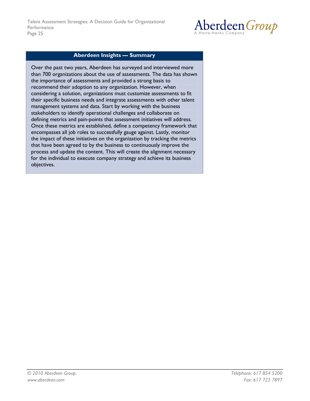

#### **Aberdeen Insights - Summary**

Over the past two years, Aberdeen has surveyed and interviewed more than 700 organizations about the use of assessments. The data has shown the importance of assessments and provided a strong basis to recommend their adoption to any organization. However, when considering a solution, organizations must customize assessments to fit their specific business needs and integrate assessments with other talent management systems and data. Start by working with the business stakeholders to identify operational challenges and collaborate on defining metrics and pain-points that assessment initiatives will address. Once these metrics are established, define a competency framework that encompasses all job roles to successfully gauge against. Lastly, monitor the impact of these initiatives on the organization by tracking the metrics that have been agreed to by the business to continuously improve the process and update the content. This will create the alignment necessary for the individual to execute company strategy and achieve its business objectives.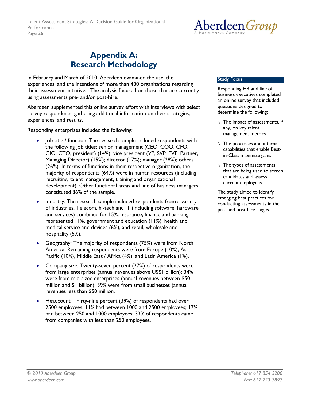

## <span id="page-25-0"></span>**Appendix A: Research Methodology**

In February and March of 2010, Aberdeen examined the use, the experiences, and the intentions of more than 400 organizations regarding their assessment initiatives. The analysis focused on those that are currently using assessments pre- and/or post-hire.

Aberdeen supplemented this online survey effort with interviews with select survey respondents, gathering additional information on their strategies, experiences, and results.

Responding enterprises included the following:

- Job title / function: The research sample included respondents with the following job titles: senior management (CEO, COO, CFO, CIO, CTO, president) (14%); vice president (VP, SVP, EVP, Partner, Managing Director) (15%); director (17%); manager (28%); others (26%). In terms of functions in their respective organization, the majority of respondents (64%) were in human resources (including recruiting, talent management, training and organizational development). Other functional areas and line of business managers constituted 36% of the sample.
- Industry: The research sample included respondents from a variety of industries. Telecom, hi-tech and IT (including software, hardware and services) combined for 15%. Insurance, finance and banking represented 11%, government and education (11%), health and medical service and devices (6%), and retail, wholesale and hospitality (5%).
- Geography: The majority of respondents (75%) were from North America. Remaining respondents were from Europe (10%), Asia-Pacific (10%), Middle East / Africa (4%), and Latin America (1%).
- Company size: Twenty-seven percent (27%) of respondents were from large enterprises (annual revenues above US\$1 billion); 34% were from mid-sized enterprises (annual revenues between \$50 million and \$1 billion); 39% were from small businesses (annual revenues less than \$50 million.
- Headcount: Thirty-nine percent (39%) of respondents had over 2500 employees; 11% had between 1000 and 2500 employees; 17% had between 250 and 1000 employees; 33% of respondents came from companies with less than 250 employees.

#### **Study Focus**

Responding HR and line of business executives completed an online survey that included questions designed to determine the following:

- $\sqrt{\phantom{a}}$  The impact of assessments, if any, on key talent management metrics
- $\sqrt{\phantom{a}}$  The processes and internal capabilities that enable Bestin-Class maximize gains
- $\sqrt{\phantom{a}}$  The types of assessments that are being used to screen candidates and assess current employees

The study aimed to identify emerging best practices for conducting assessments in the pre- and post-hire stages.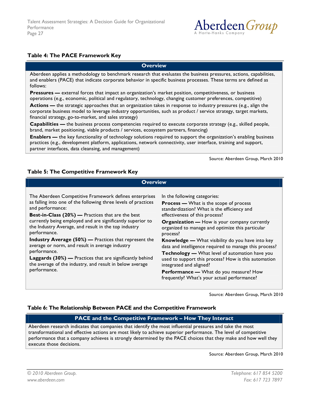

#### <span id="page-26-0"></span>Table 4: The PACE Framework Key

**Overview** 

Aberdeen applies a methodology to benchmark research that evaluates the business pressures, actions, capabilities, and enablers (PACE) that indicate corporate behavior in specific business processes. These terms are defined as follows:

Pressures - external forces that impact an organization's market position, competitiveness, or business operations (e.g., economic, political and regulatory, technology, changing customer preferences, competitive)

Actions — the strategic approaches that an organization takes in response to industry pressures (e.g., align the corporate business model to leverage industry opportunities, such as product / service strategy, target markets, financial strategy, go-to-market, and sales strategy)

**Capabilities** — the business process competencies required to execute corporate strategy (e.g., skilled people, brand, market positioning, viable products / services, ecosystem partners, financing)

**Enablers** — the key functionality of technology solutions required to support the organization's enabling business practices (e.g., development platform, applications, network connectivity, user interface, training and support, partner interfaces, data cleansing, and management)

Source: Aberdeen Group, March 2010

#### <span id="page-26-1"></span>Table 5: The Competitive Framework Key

#### **Overview** The Aberdeen Competitive Framework defines enterprises In the following categories: as falling into one of the following three levels of practices **Process - What is the scope of process** and performance: standardization? What is the efficiency and Best-in-Class (20%) — Practices that are the best effectiveness of this process? currently being employed and are significantly superior to Organization - How is your company currently the Industry Average, and result in the top industry organized to manage and optimize this particular performance. process? Industry Average (50%) - Practices that represent the Knowledge - What visibility do you have into key average or norm, and result in average industry data and intelligence required to manage this process? performance. Technology - What level of automation have you Laggards (30%) - Practices that are significantly behind used to support this process? How is this automation the average of the industry, and result in below average integrated and aligned? performance. Performance - What do you measure? How frequently? What's your actual performance?

Source: Aberdeen Group, March 2010

#### <span id="page-26-2"></span>Table 6: The Relationship Between PACE and the Competitive Framework

#### PACE and the Competitive Framework - How They Interact

Aberdeen research indicates that companies that identify the most influential pressures and take the most transformational and effective actions are most likely to achieve superior performance. The level of competitive performance that a company achieves is strongly determined by the PACE choices that they make and how well they execute those decisions.

Source: Aberdeen Group, March 2010